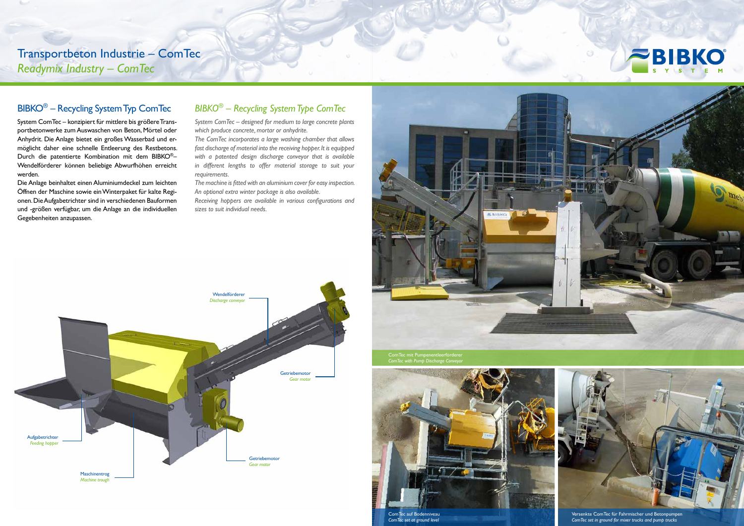## BIBKO® – Recycling System Typ ComTec

System ComTec – konzipiert für mittlere bis größere Transportbetonwerke zum Auswaschen von Beton, Mörtel oder Anhydrit. Die Anlage bietet ein großes Wasserbad und ermöglicht daher eine schnelle Entleerung des Restbetons. Durch die patentierte Kombination mit dem BIBKO®– Wendelförderer können beliebige Abwurfhöhen erreicht werden.

Die Anlage beinhaltet einen Aluminiumdeckel zum leichten Öffnen der Maschine sowie ein Winterpaket für kalte Regionen. Die Aufgabetrichter sind in verschiedenen Bauformen und -größen verfügbar, um die Anlage an die individuellen Gegebenheiten anzupassen.

## *BIBKO*® *– Recycling System Type ComTec*

*System ComTec – designed for medium to large concrete plants which produce concrete, mortar or anhydrite.* 

*The ComTec incorporates a large washing chamber that allows fast discharge of material into the receiving hopper. It is equipped with a patented design discharge conveyor that is available in different lengths to offer material storage to suit your requirements.* 

*The machine is fitted with an aluminium cover for easy inspection. An optional extra winter package is also available.* 

*Receiving hoppers are available in various configurations and sizes to suit individual needs.* 

> ComTec mit Pumpenentleerförderer *ComTec with Pump Discharge Conveyor*



*ComTec set in ground for mixer trucks and pump trucks*

*ComTec set at ground level*



Transportbeton Industrie – ComTec *Readymix Industry – ComTec*